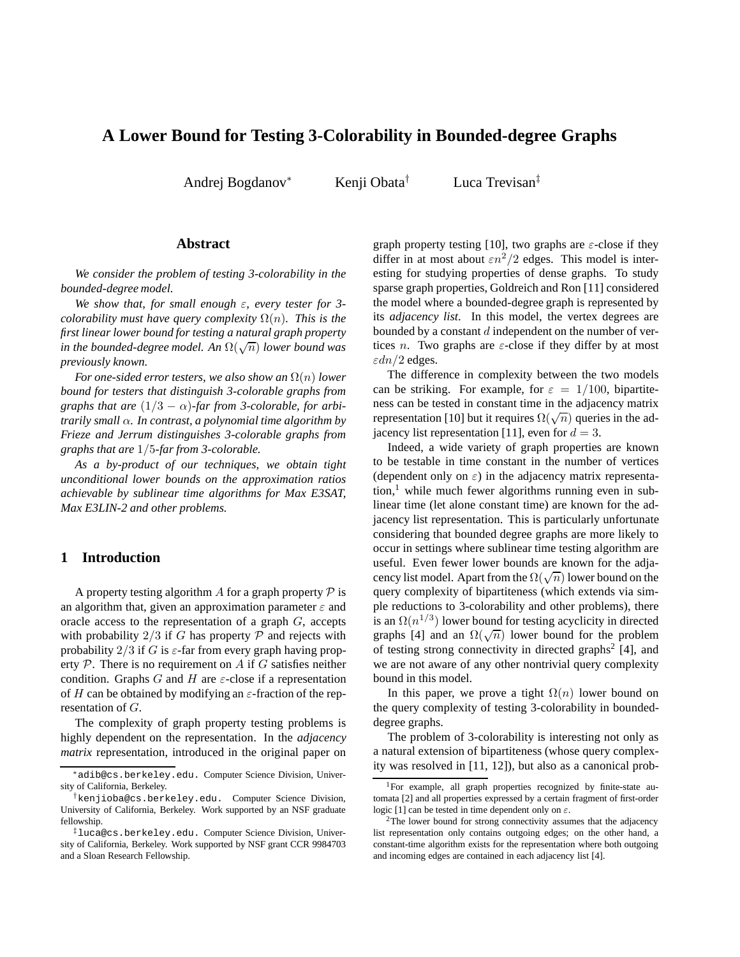# **A Lower Bound for Testing 3-Colorability in Bounded-degree Graphs**

Andrej Bogdanov<sup>∗</sup> Kenji Obata† Luca Trevisan‡

### **Abstract**

*We consider the problem of testing 3-colorability in the bounded-degree model.*

*We show that, for small enough* ε*, every tester for 3 colorability must have query complexity*  $\Omega(n)$ *. This is the first linear lower bound for testing a natural graph property in the bounded-degree model. An* Ω(√ n) *lower bound was previously known.*

*For one-sided error testers, we also show an*  $\Omega(n)$  *lower bound for testers that distinguish 3-colorable graphs from graphs that are*  $(1/3 - \alpha)$ -*far from 3-colorable, for arbitrarily small* α*. In contrast, a polynomial time algorithm by Frieze and Jerrum distinguishes 3-colorable graphs from graphs that are* 1/5*-far from 3-colorable.*

*As a by-product of our techniques, we obtain tight unconditional lower bounds on the approximation ratios achievable by sublinear time algorithms for Max E3SAT, Max E3LIN-2 and other problems.*

# **1 Introduction**

A property testing algorithm A for a graph property  $P$  is an algorithm that, given an approximation parameter  $\varepsilon$  and oracle access to the representation of a graph G, accepts with probability  $2/3$  if G has property  $P$  and rejects with probability  $2/3$  if G is  $\varepsilon$ -far from every graph having property  $P$ . There is no requirement on  $A$  if  $G$  satisfies neither condition. Graphs G and H are  $\varepsilon$ -close if a representation of H can be obtained by modifying an  $\varepsilon$ -fraction of the representation of G.

The complexity of graph property testing problems is highly dependent on the representation. In the *adjacency matrix* representation, introduced in the original paper on graph property testing [10], two graphs are  $\varepsilon$ -close if they differ in at most about  $\epsilon n^2/2$  edges. This model is interesting for studying properties of dense graphs. To study sparse graph properties, Goldreich and Ron [11] considered the model where a bounded-degree graph is represented by its *adjacency list*. In this model, the vertex degrees are bounded by a constant  $d$  independent on the number of vertices *n*. Two graphs are  $\varepsilon$ -close if they differ by at most  $\varepsilon dn/2$  edges.

The difference in complexity between the two models can be striking. For example, for  $\varepsilon = 1/100$ , bipartiteness can be tested in constant time in the adjacency matrix representation [10] but it requires  $\Omega(\sqrt{n})$  queries in the adjacency list representation [11], even for  $d = 3$ .

Indeed, a wide variety of graph properties are known to be testable in time constant in the number of vertices (dependent only on  $\varepsilon$ ) in the adjacency matrix representa- $\text{tion}$ <sup>1</sup> while much fewer algorithms running even in sublinear time (let alone constant time) are known for the adjacency list representation. This is particularly unfortunate considering that bounded degree graphs are more likely to occur in settings where sublinear time testing algorithm are useful. Even fewer lower bounds are known for the adjacency list model. Apart from the  $\Omega(\sqrt{n})$  lower bound on the query complexity of bipartiteness (which extends via simple reductions to 3-colorability and other problems), there is an  $\Omega(n^{1/3})$  lower bound for testing acyclicity in directed graphs [4] and an  $\Omega(\sqrt{n})$  lower bound for the problem of testing strong connectivity in directed graphs<sup>2</sup> [4], and we are not aware of any other nontrivial query complexity bound in this model.

In this paper, we prove a tight  $\Omega(n)$  lower bound on the query complexity of testing 3-colorability in boundeddegree graphs.

The problem of 3-colorability is interesting not only as a natural extension of bipartiteness (whose query complexity was resolved in [11, 12]), but also as a canonical prob-

<sup>∗</sup>adib@cs.berkeley.edu. Computer Science Division, University of California, Berkeley.

<sup>†</sup>kenjioba@cs.berkeley.edu. Computer Science Division, University of California, Berkeley. Work supported by an NSF graduate fellowship.

<sup>‡</sup>luca@cs.berkeley.edu. Computer Science Division, University of California, Berkeley. Work supported by NSF grant CCR 9984703 and a Sloan Research Fellowship.

<sup>&</sup>lt;sup>1</sup>For example, all graph properties recognized by finite-state automata [2] and all properties expressed by a certain fragment of first-order logic [1] can be tested in time dependent only on  $\varepsilon$ .

<sup>&</sup>lt;sup>2</sup>The lower bound for strong connectivity assumes that the adjacency list representation only contains outgoing edges; on the other hand, a constant-time algorithm exists for the representation where both outgoing and incoming edges are contained in each adjacency list [4].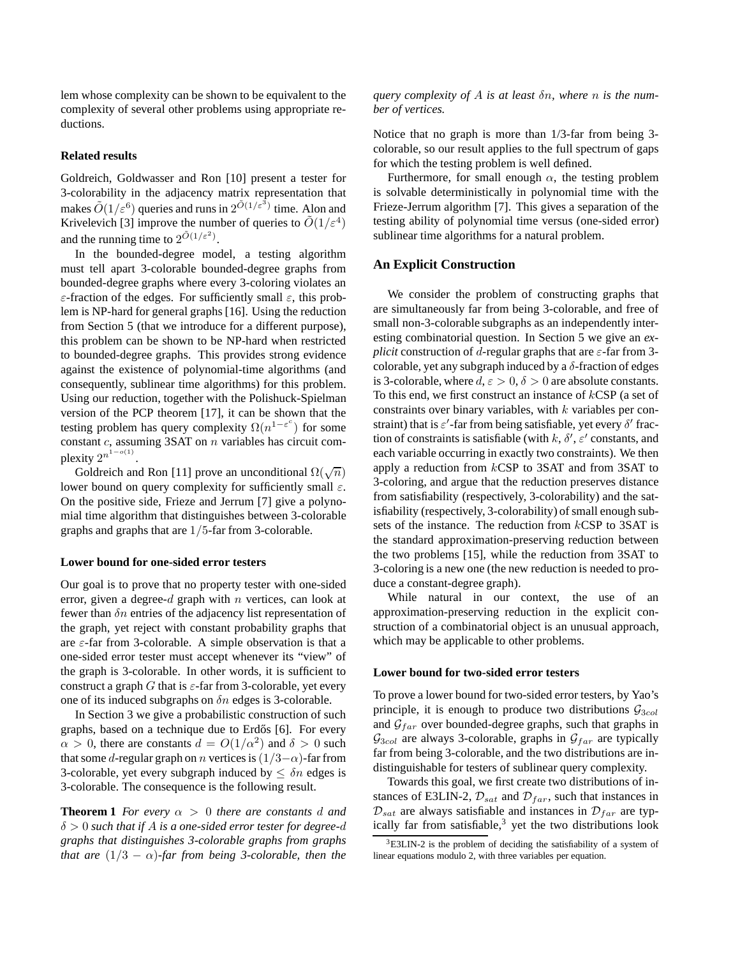lem whose complexity can be shown to be equivalent to the complexity of several other problems using appropriate reductions.

#### **Related results**

Goldreich, Goldwasser and Ron [10] present a tester for 3-colorability in the adjacency matrix representation that makes  $\tilde{O}(1/\varepsilon^6)$  queries and runs in  $2^{\tilde{O}(1/\varepsilon^3)}$  time. Alon and Krivelevich [3] improve the number of queries to  $\tilde{O}(1/\varepsilon^4)$ and the running time to  $2^{\tilde{O}(1/\varepsilon^2)}$ .

In the bounded-degree model, a testing algorithm must tell apart 3-colorable bounded-degree graphs from bounded-degree graphs where every 3-coloring violates an  $\varepsilon$ -fraction of the edges. For sufficiently small  $\varepsilon$ , this problem is NP-hard for general graphs [16]. Using the reduction from Section 5 (that we introduce for a different purpose), this problem can be shown to be NP-hard when restricted to bounded-degree graphs. This provides strong evidence against the existence of polynomial-time algorithms (and consequently, sublinear time algorithms) for this problem. Using our reduction, together with the Polishuck-Spielman version of the PCP theorem [17], it can be shown that the testing problem has query complexity  $\Omega(n^{1-\varepsilon^c})$  for some constant  $c$ , assuming 3SAT on  $n$  variables has circuit complexity  $2^{n^{1-o(1)}}$ .

Goldreich and Ron [11] prove an unconditional  $\Omega(\sqrt{n})$ lower bound on query complexity for sufficiently small  $\varepsilon$ . On the positive side, Frieze and Jerrum [7] give a polynomial time algorithm that distinguishes between 3-colorable graphs and graphs that are 1/5-far from 3-colorable.

#### **Lower bound for one-sided error testers**

Our goal is to prove that no property tester with one-sided error, given a degree- $d$  graph with  $n$  vertices, can look at fewer than  $\delta n$  entries of the adjacency list representation of the graph, yet reject with constant probability graphs that are  $\varepsilon$ -far from 3-colorable. A simple observation is that a one-sided error tester must accept whenever its "view" of the graph is 3-colorable. In other words, it is sufficient to construct a graph G that is  $\varepsilon$ -far from 3-colorable, yet every one of its induced subgraphs on  $\delta n$  edges is 3-colorable.

In Section 3 we give a probabilistic construction of such graphs, based on a technique due to Erdős [6]. For every  $\alpha > 0$ , there are constants  $d = O(1/\alpha^2)$  and  $\delta > 0$  such that some d-regular graph on n vertices is  $(1/3-\alpha)$ -far from 3-colorable, yet every subgraph induced by  $\leq \delta n$  edges is 3-colorable. The consequence is the following result.

**Theorem 1** *For every*  $\alpha > 0$  *there are constants* d and δ > 0 *such that if* A *is a one-sided error tester for degree-*d *graphs that distinguishes 3-colorable graphs from graphs that are*  $(1/3 - \alpha)$ *-far from being 3-colorable, then the* 

*query complexity of* A *is at least* δn*, where* n *is the number of vertices.*

Notice that no graph is more than 1/3-far from being 3 colorable, so our result applies to the full spectrum of gaps for which the testing problem is well defined.

Furthermore, for small enough  $\alpha$ , the testing problem is solvable deterministically in polynomial time with the Frieze-Jerrum algorithm [7]. This gives a separation of the testing ability of polynomial time versus (one-sided error) sublinear time algorithms for a natural problem.

### **An Explicit Construction**

We consider the problem of constructing graphs that are simultaneously far from being 3-colorable, and free of small non-3-colorable subgraphs as an independently interesting combinatorial question. In Section 5 we give an *explicit* construction of d-regular graphs that are  $\varepsilon$ -far from 3colorable, yet any subgraph induced by a  $\delta$ -fraction of edges is 3-colorable, where  $d, \varepsilon > 0, \delta > 0$  are absolute constants. To this end, we first construct an instance of kCSP (a set of constraints over binary variables, with  $k$  variables per constraint) that is  $\varepsilon'$ -far from being satisfiable, yet every  $\delta'$  fraction of constraints is satisfiable (with  $k$ ,  $\delta'$ ,  $\varepsilon'$  constants, and each variable occurring in exactly two constraints). We then apply a reduction from kCSP to 3SAT and from 3SAT to 3-coloring, and argue that the reduction preserves distance from satisfiability (respectively, 3-colorability) and the satisfiability (respectively, 3-colorability) of small enough subsets of the instance. The reduction from kCSP to 3SAT is the standard approximation-preserving reduction between the two problems [15], while the reduction from 3SAT to 3-coloring is a new one (the new reduction is needed to produce a constant-degree graph).

While natural in our context, the use of an approximation-preserving reduction in the explicit construction of a combinatorial object is an unusual approach, which may be applicable to other problems.

#### **Lower bound for two-sided error testers**

To prove a lower bound for two-sided error testers, by Yao's principle, it is enough to produce two distributions  $\mathcal{G}_{3col}$ and  $G<sub>far</sub>$  over bounded-degree graphs, such that graphs in  $\mathcal{G}_{3col}$  are always 3-colorable, graphs in  $\mathcal{G}_{far}$  are typically far from being 3-colorable, and the two distributions are indistinguishable for testers of sublinear query complexity.

Towards this goal, we first create two distributions of instances of E3LIN-2,  $\mathcal{D}_{sat}$  and  $\mathcal{D}_{far}$ , such that instances in  $\mathcal{D}_{sat}$  are always satisfiable and instances in  $\mathcal{D}_{far}$  are typically far from satisfiable, $3$  yet the two distributions look

<sup>3</sup>E3LIN-2 is the problem of deciding the satisfiability of a system of linear equations modulo 2, with three variables per equation.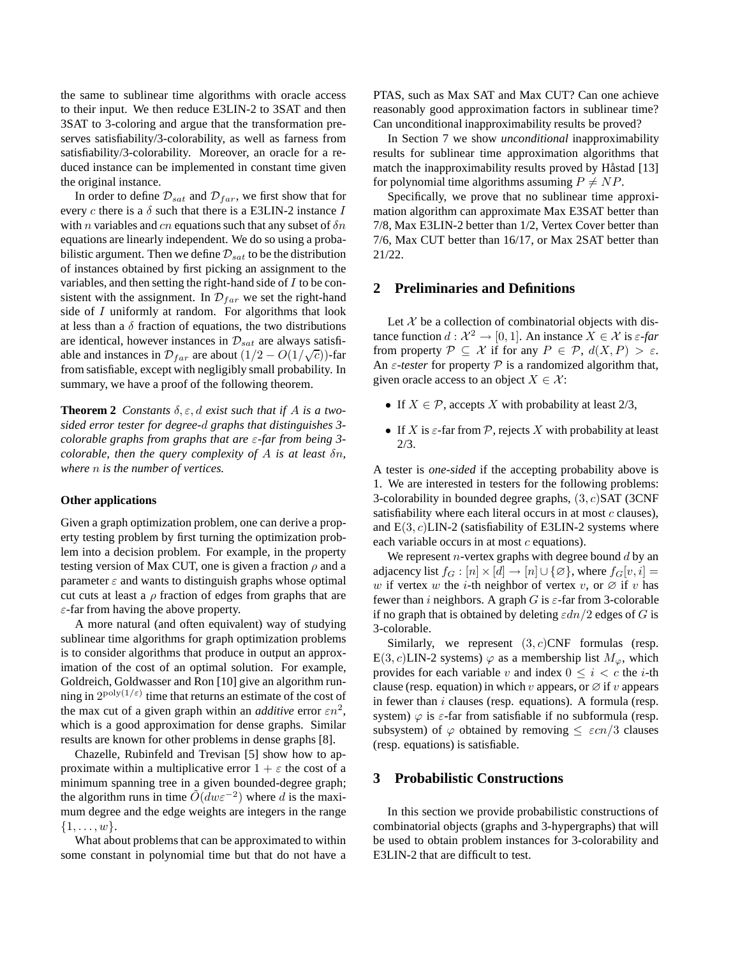the same to sublinear time algorithms with oracle access to their input. We then reduce E3LIN-2 to 3SAT and then 3SAT to 3-coloring and argue that the transformation preserves satisfiability/3-colorability, as well as farness from satisfiability/3-colorability. Moreover, an oracle for a reduced instance can be implemented in constant time given the original instance.

In order to define  $\mathcal{D}_{sat}$  and  $\mathcal{D}_{far}$ , we first show that for every c there is a  $\delta$  such that there is a E3LIN-2 instance I with n variables and cn equations such that any subset of  $\delta n$ equations are linearly independent. We do so using a probabilistic argument. Then we define  $\mathcal{D}_{sat}$  to be the distribution of instances obtained by first picking an assignment to the variables, and then setting the right-hand side of  $I$  to be consistent with the assignment. In  $\mathcal{D}_{far}$  we set the right-hand side of I uniformly at random. For algorithms that look at less than a  $\delta$  fraction of equations, the two distributions are identical, however instances in  $\mathcal{D}_{sat}$  are always satisfiable and instances in  $\mathcal{D}_{far}$  are about  $(1/2 - O(1/\sqrt{c}))$ -far from satisfiable, except with negligibly small probability. In summary, we have a proof of the following theorem.

**Theorem 2** *Constants*  $\delta$ ,  $\varepsilon$ ,  $d$  *exist such that if*  $A$  *is a twosided error tester for degree-*d *graphs that distinguishes 3 colorable graphs from graphs that are* ε*-far from being 3 colorable, then the query complexity of* A *is at least* δn*, where* n *is the number of vertices.*

#### **Other applications**

Given a graph optimization problem, one can derive a property testing problem by first turning the optimization problem into a decision problem. For example, in the property testing version of Max CUT, one is given a fraction  $\rho$  and a parameter  $\varepsilon$  and wants to distinguish graphs whose optimal cut cuts at least a  $\rho$  fraction of edges from graphs that are  $\varepsilon$ -far from having the above property.

A more natural (and often equivalent) way of studying sublinear time algorithms for graph optimization problems is to consider algorithms that produce in output an approximation of the cost of an optimal solution. For example, Goldreich, Goldwasser and Ron [10] give an algorithm running in  $2^{poly(1/\varepsilon)}$  time that returns an estimate of the cost of the max cut of a given graph within an *additive* error  $\epsilon n^2$ , which is a good approximation for dense graphs. Similar results are known for other problems in dense graphs [8].

Chazelle, Rubinfeld and Trevisan [5] show how to approximate within a multiplicative error  $1 + \varepsilon$  the cost of a minimum spanning tree in a given bounded-degree graph; the algorithm runs in time  $\tilde{O}(dw\varepsilon^{-2})$  where d is the maximum degree and the edge weights are integers in the range  $\{1, \ldots, w\}.$ 

What about problems that can be approximated to within some constant in polynomial time but that do not have a PTAS, such as Max SAT and Max CUT? Can one achieve reasonably good approximation factors in sublinear time? Can unconditional inapproximability results be proved?

In Section 7 we show *unconditional* inapproximability results for sublinear time approximation algorithms that match the inapproximability results proved by Håstad [13] for polynomial time algorithms assuming  $P \neq NP$ .

Specifically, we prove that no sublinear time approximation algorithm can approximate Max E3SAT better than 7/8, Max E3LIN-2 better than 1/2, Vertex Cover better than 7/6, Max CUT better than 16/17, or Max 2SAT better than 21/22.

### **2 Preliminaries and Definitions**

Let  $X$  be a collection of combinatorial objects with distance function  $d: \mathcal{X}^2 \to [0, 1]$ . An instance  $X \in \mathcal{X}$  is  $\varepsilon$ -far from property  $P \subseteq \mathcal{X}$  if for any  $P \in \mathcal{P}$ ,  $d(X, P) > \varepsilon$ . An  $\varepsilon$ -tester for property  $P$  is a randomized algorithm that, given oracle access to an object  $X \in \mathcal{X}$ :

- If  $X \in \mathcal{P}$ , accepts X with probability at least 2/3,
- If X is  $\varepsilon$ -far from P, rejects X with probability at least 2/3.

A tester is *one-sided* if the accepting probability above is 1. We are interested in testers for the following problems: 3-colorability in bounded degree graphs,  $(3, c)$ SAT (3CNF satisfiability where each literal occurs in at most  $c$  clauses), and  $E(3, c)$ LIN-2 (satisfiability of E3LIN-2 systems where each variable occurs in at most  $c$  equations).

We represent  $n$ -vertex graphs with degree bound  $d$  by an adjacency list  $f_G : [n] \times [d] \rightarrow [n] \cup \{ \emptyset \}$ , where  $f_G[v, i] =$ w if vertex w the *i*-th neighbor of vertex v, or  $\emptyset$  if v has fewer than i neighbors. A graph G is  $\varepsilon$ -far from 3-colorable if no graph that is obtained by deleting  $\varepsilon dn/2$  edges of G is 3-colorable.

Similarly, we represent  $(3, c)$ CNF formulas (resp. E(3, c)LIN-2 systems)  $\varphi$  as a membership list  $M_{\varphi}$ , which provides for each variable v and index  $0 \le i < c$  the *i*-th clause (resp. equation) in which v appears, or  $\varnothing$  if v appears in fewer than  $i$  clauses (resp. equations). A formula (resp. system)  $\varphi$  is  $\varepsilon$ -far from satisfiable if no subformula (resp. subsystem) of  $\varphi$  obtained by removing  $\leq \varepsilon cn/3$  clauses (resp. equations) is satisfiable.

### **3 Probabilistic Constructions**

In this section we provide probabilistic constructions of combinatorial objects (graphs and 3-hypergraphs) that will be used to obtain problem instances for 3-colorability and E3LIN-2 that are difficult to test.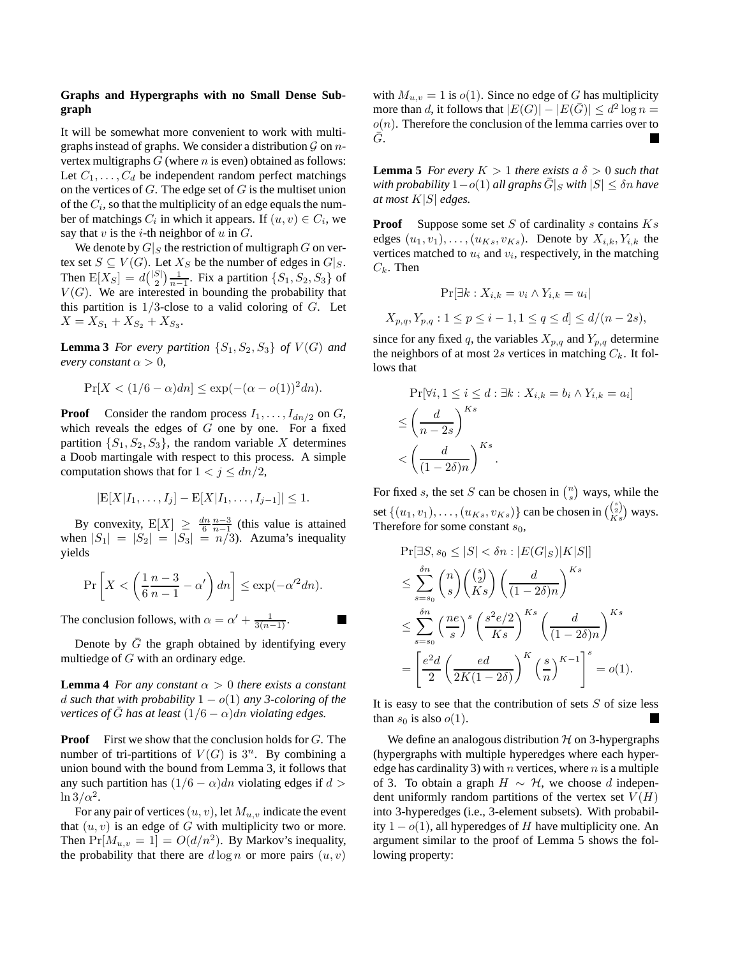### **Graphs and Hypergraphs with no Small Dense Subgraph**

It will be somewhat more convenient to work with multigraphs instead of graphs. We consider a distribution  $\mathcal G$  on  $n$ vertex multigraphs  $G$  (where  $n$  is even) obtained as follows: Let  $C_1, \ldots, C_d$  be independent random perfect matchings on the vertices of  $G$ . The edge set of  $G$  is the multiset union of the  $C_i$ , so that the multiplicity of an edge equals the number of matchings  $C_i$  in which it appears. If  $(u, v) \in C_i$ , we say that  $v$  is the  $i$ -th neighbor of  $u$  in  $G$ .

We denote by  $G|_S$  the restriction of multigraph G on vertex set  $S \subseteq V(G)$ . Let  $X_S$  be the number of edges in  $G|_S$ . Then  $E[X_S] = d\binom{|S|}{2} \frac{1}{n-1}$ . Fix a partition  $\{S_1, S_2, S_3\}$  of  $V(G)$ . We are interested in bounding the probability that this partition is  $1/3$ -close to a valid coloring of  $G$ . Let  $X = X_{S_1} + X_{S_2} + X_{S_3}.$ 

**Lemma 3** *For every partition*  $\{S_1, S_2, S_3\}$  *of*  $V(G)$  *and every constant*  $\alpha > 0$ *,* 

$$
Pr[X < (1/6 - \alpha)dn] \le \exp(-(\alpha - o(1))^2 dn).
$$

**Proof** Consider the random process  $I_1, \ldots, I_{dn/2}$  on  $G$ , which reveals the edges of  $G$  one by one. For a fixed partition  $\{S_1, S_2, S_3\}$ , the random variable X determines a Doob martingale with respect to this process. A simple computation shows that for  $1 < j \leq dn/2$ ,

$$
|\mathbb{E}[X|I_1,\ldots,I_j] - \mathbb{E}[X|I_1,\ldots,I_{j-1}]| \leq 1.
$$

By convexity,  $E[X] \ge \frac{dn}{6} \frac{n-3}{n-1}$  (this value is attained when  $|S_1| = |S_2| = |S_3| = n/3$ . Azuma's inequality yields

$$
\Pr\left[X < \left(\frac{1}{6}\frac{n-3}{n-1} - \alpha'\right)dn\right] \le \exp(-\alpha'^2 dn).
$$

The conclusion follows, with  $\alpha = \alpha' + \frac{1}{3(n-1)}$ .

Denote by  $\overline{G}$  the graph obtained by identifying every multiedge of  $G$  with an ordinary edge.

**Lemma 4** *For any constant*  $\alpha > 0$  *there exists a constant* d such that with probability  $1 - o(1)$  any 3-coloring of the *vertices of G* has at least  $(1/6 - \alpha)$ dn *violating edges.* 

**Proof** First we show that the conclusion holds for G. The number of tri-partitions of  $V(G)$  is  $3<sup>n</sup>$ . By combining a union bound with the bound from Lemma 3, it follows that any such partition has  $(1/6 - \alpha)dn$  violating edges if  $d >$  $\ln 3/\alpha^2$ .

For any pair of vertices  $(u, v)$ , let  $M_{u, v}$  indicate the event that  $(u, v)$  is an edge of G with multiplicity two or more. Then  $Pr[M_{u,v} = 1] = O(d/n^2)$ . By Markov's inequality, the probability that there are  $d \log n$  or more pairs  $(u, v)$ 

with  $M_{u,v} = 1$  is  $o(1)$ . Since no edge of G has multiplicity more than d, it follows that  $|E(G)| - |E(\bar{G})| \le d^2 \log n =$  $o(n)$ . Therefore the conclusion of the lemma carries over to  $\bar{G}$ .  $\blacksquare$ 

**Lemma 5** *For every*  $K > 1$  *there exists a*  $\delta > 0$  *such that*  $with$  *probability*  $1-o(1)$  *all graphs*  $\overline{G}|_S$  *with*  $|S| \leq \delta n$  *have at most* K|S| *edges.*

**Proof** Suppose some set  $S$  of cardinality  $s$  contains  $Ks$ edges  $(u_1, v_1), \ldots, (u_{Ks}, v_{Ks})$ . Denote by  $X_{i,k}, Y_{i,k}$  the vertices matched to  $u_i$  and  $v_i$ , respectively, in the matching  $C_k$ . Then

$$
\Pr[\exists k : X_{i,k} = v_i \land Y_{i,k} = u_i]
$$

 $X_{p,q}, Y_{p,q} : 1 \leq p \leq i-1, 1 \leq q \leq d \leq d/(n-2s),$ 

since for any fixed q, the variables  $X_{p,q}$  and  $Y_{p,q}$  determine the neighbors of at most 2s vertices in matching  $C_k$ . It follows that

$$
\Pr[\forall i, 1 \le i \le d : \exists k : X_{i,k} = b_i \land Y_{i,k} = a_i]
$$
  

$$
\le \left(\frac{d}{n-2s}\right)^{Ks}
$$
  

$$
< \left(\frac{d}{(1-2\delta)n}\right)^{Ks}.
$$

For fixed s, the set S can be chosen in  $\binom{n}{s}$  ways, while the set  $\{(u_1, v_1), \ldots, (u_{Ks}, v_{Ks})\}$  can be chosen in  $\binom{\binom{s}{2}}{Ks}$  ways. Therefore for some constant  $s_0$ ,

$$
\Pr[\exists S, s_0 \le |S| < \delta n : |E(G|_S)|K|S|]
$$
\n
$$
\le \sum_{s=s_0}^{\delta n} \binom{n}{s} \binom{\binom{s}{2}}{Ks} \left(\frac{d}{(1-2\delta)n}\right)^{Ks}
$$
\n
$$
\le \sum_{s=s_0}^{\delta n} \left(\frac{ne}{s}\right)^s \left(\frac{s^2e/2}{Ks}\right)^{Ks} \left(\frac{d}{(1-2\delta)n}\right)^{Ks}
$$
\n
$$
= \left[\frac{e^2d}{2} \left(\frac{ed}{2K(1-2\delta)}\right)^K \left(\frac{s}{n}\right)^{K-1}\right]^s = o(1).
$$

It is easy to see that the contribution of sets  $S$  of size less than  $s_0$  is also  $o(1)$ .

We define an analogous distribution  $H$  on 3-hypergraphs (hypergraphs with multiple hyperedges where each hyperedge has cardinality 3) with *n* vertices, where *n* is a multiple of 3. To obtain a graph  $H \sim H$ , we choose d independent uniformly random partitions of the vertex set  $V(H)$ into 3-hyperedges (i.e., 3-element subsets). With probability  $1 - o(1)$ , all hyperedges of H have multiplicity one. An argument similar to the proof of Lemma 5 shows the following property: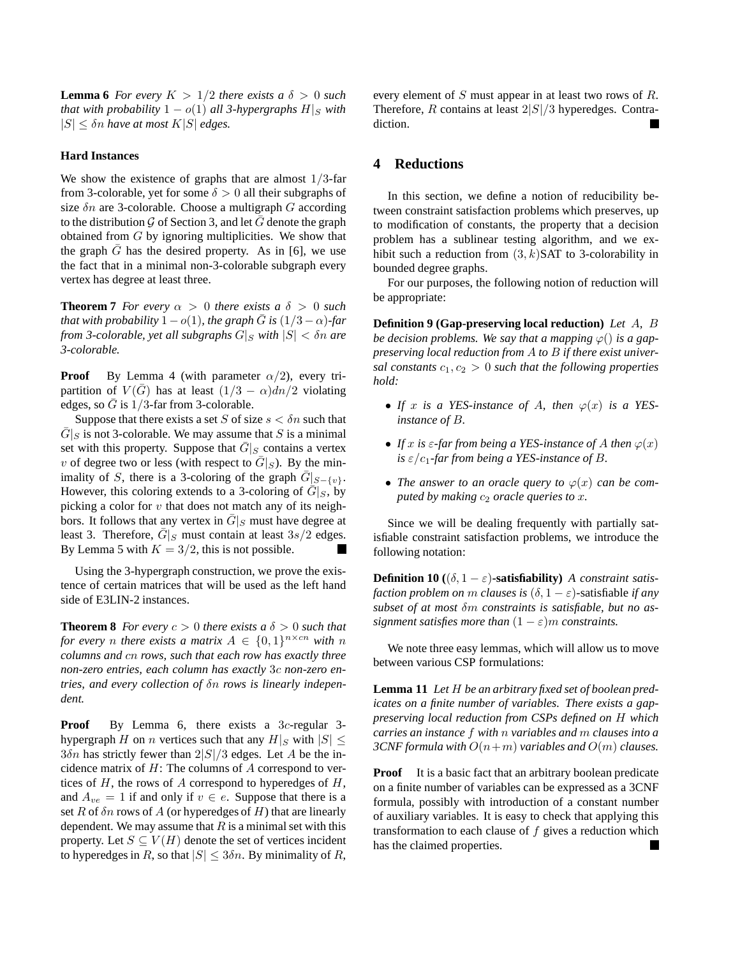**Lemma 6** *For every*  $K > 1/2$  *there exists a*  $\delta > 0$  *such that with probability*  $1 - o(1)$  *all 3-hypergraphs*  $H|_S$  *with*  $|S| \leq \delta n$  *have at most*  $K|S|$  *edges.* 

#### **Hard Instances**

We show the existence of graphs that are almost  $1/3$ -far from 3-colorable, yet for some  $\delta > 0$  all their subgraphs of size  $\delta n$  are 3-colorable. Choose a multigraph G according to the distribution  $\mathcal G$  of Section 3, and let  $G$  denote the graph obtained from G by ignoring multiplicities. We show that the graph  $\bar{G}$  has the desired property. As in [6], we use the fact that in a minimal non-3-colorable subgraph every vertex has degree at least three.

**Theorem 7** *For every*  $\alpha > 0$  *there exists*  $a \delta > 0$  *such that with probability*  $1 - o(1)$ *, the graph*  $\overline{G}$  *is*  $(1/3 - \alpha)$ *-far from 3-colorable, yet all subgraphs*  $G|_S$  *with*  $|S| < \delta n$  *are 3-colorable.*

**Proof** By Lemma 4 (with parameter  $\alpha/2$ ), every tripartition of  $V(\bar{G})$  has at least  $(1/3 - \alpha)dn/2$  violating edges, so  $\bar{G}$  is 1/3-far from 3-colorable.

Suppose that there exists a set S of size  $s < \delta n$  such that  $\overline{G}|_S$  is not 3-colorable. We may assume that S is a minimal set with this property. Suppose that  $\overline{G}|_S$  contains a vertex v of degree two or less (with respect to  $\overline{G}|_S$ ). By the minimality of S, there is a 3-coloring of the graph  $\overline{G}|_{S-\{v\}}$ . However, this coloring extends to a 3-coloring of  $\overline{G}|_S$ , by picking a color for  $v$  that does not match any of its neighbors. It follows that any vertex in  $\overline{G}|_S$  must have degree at least 3. Therefore,  $\overline{G}|_S$  must contain at least  $3s/2$  edges. By Lemma 5 with  $K = 3/2$ , this is not possible.

Using the 3-hypergraph construction, we prove the existence of certain matrices that will be used as the left hand side of E3LIN-2 instances.

**Theorem 8** *For every*  $c > 0$  *there exists*  $a \delta > 0$  *such that for every n there exists a matrix*  $A \in \{0,1\}^{n \times cn}$  *with n columns and* cn *rows, such that each row has exactly three non-zero entries, each column has exactly* 3c *non-zero entries, and every collection of* δn *rows is linearly independent.*

**Proof** By Lemma 6, there exists a 3c-regular 3hypergraph H on n vertices such that any  $H|_S$  with  $|S| \leq$  $3\delta n$  has strictly fewer than  $2|S|/3$  edges. Let A be the incidence matrix of  $H$ : The columns of  $A$  correspond to vertices of  $H$ , the rows of  $A$  correspond to hyperedges of  $H$ , and  $A_{ve} = 1$  if and only if  $v \in e$ . Suppose that there is a set R of  $\delta n$  rows of A (or hyperedges of H) that are linearly dependent. We may assume that  $R$  is a minimal set with this property. Let  $S \subseteq V(H)$  denote the set of vertices incident to hyperedges in R, so that  $|S| \leq 3\delta n$ . By minimality of R, every element of S must appear in at least two rows of R. Therefore, R contains at least  $2|S|/3$  hyperedges. Contradiction.

# **4 Reductions**

In this section, we define a notion of reducibility between constraint satisfaction problems which preserves, up to modification of constants, the property that a decision problem has a sublinear testing algorithm, and we exhibit such a reduction from  $(3, k)$ SAT to 3-colorability in bounded degree graphs.

For our purposes, the following notion of reduction will be appropriate:

**Definition 9 (Gap-preserving local reduction)** *Let* A*,* B *be decision problems. We say that a mapping*  $\varphi()$  *is a gappreserving local reduction from* A *to* B *if there exist universal constants*  $c_1, c_2 > 0$  *such that the following properties hold:*

- If x is a YES-instance of A, then  $\varphi(x)$  is a YES*instance of* B*.*
- *If* x is  $\epsilon$ -far from being a YES-instance of A then  $\varphi(x)$ *is*  $\epsilon/c_1$ -far from being a YES-instance of B.
- The answer to an oracle query to  $\varphi(x)$  can be com*puted by making*  $c_2$  *oracle queries to x.*

Since we will be dealing frequently with partially satisfiable constraint satisfaction problems, we introduce the following notation:

**Definition 10** ( $(\delta, 1 - \varepsilon)$ **-satisfiability**) *A constraint satisfaction problem on* m *clauses is*  $(\delta, 1 - \varepsilon)$ -satisfiable *if any subset of at most* δm *constraints is satisfiable, but no assignment satisfies more than*  $(1 - \varepsilon)m$  *constraints.* 

We note three easy lemmas, which will allow us to move between various CSP formulations:

**Lemma 11** *Let* H *be an arbitrary fixed set of boolean predicates on a finite number of variables. There exists a gappreserving local reduction from CSPs defined on* H *which carries an instance* f *with* n *variables and* m *clauses into a 3CNF formula with*  $O(n+m)$  *variables and*  $O(m)$  *clauses.* 

**Proof** It is a basic fact that an arbitrary boolean predicate on a finite number of variables can be expressed as a 3CNF formula, possibly with introduction of a constant number of auxiliary variables. It is easy to check that applying this transformation to each clause of  $f$  gives a reduction which has the claimed properties.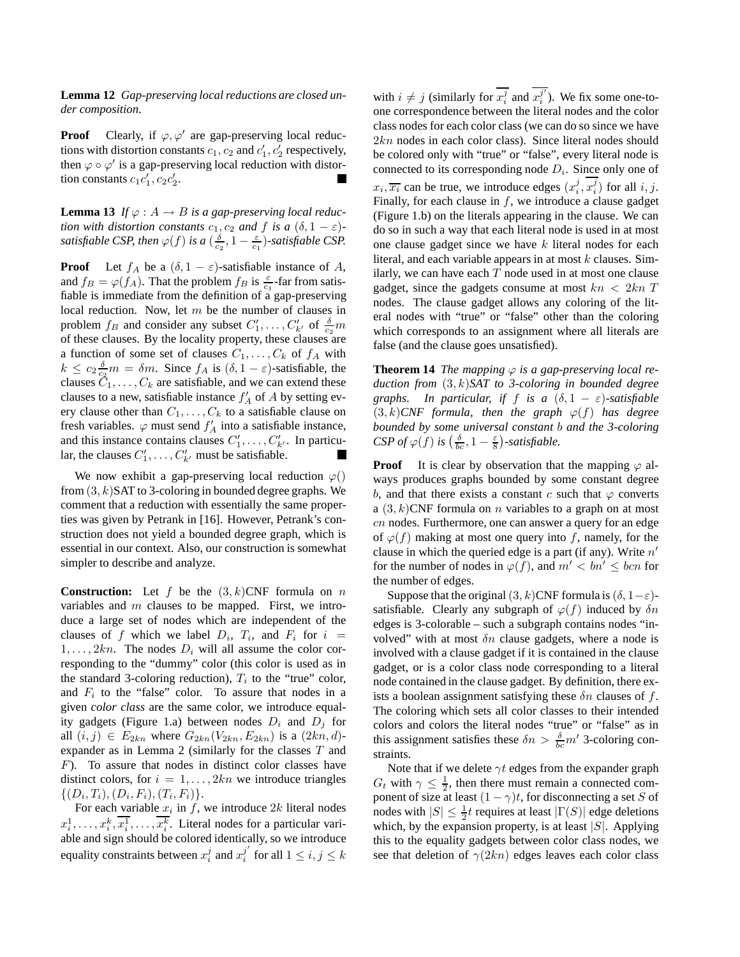**Lemma 12** *Gap-preserving local reductions are closed under composition.*

**Proof** Clearly, if  $\varphi, \varphi'$  are gap-preserving local reductions with distortion constants  $c_1$ ,  $c_2$  and  $c'_1$ ,  $c'_2$  respectively, then  $\varphi \circ \varphi'$  is a gap-preserving local reduction with distortion constants  $c_1c'_1, c_2c'_2$ .

**Lemma 13** *If*  $\varphi : A \to B$  *is a gap-preserving local reduction with distortion constants*  $c_1$ ,  $c_2$  *and*  $f$  *is a*  $(\delta, 1 - \varepsilon)$ *satisfiable CSP, then*  $\varphi(f)$  *is a*  $(\frac{\delta}{c_2}, 1 - \frac{\varepsilon}{c_1})$ *-satisfiable CSP.* 

**Proof** Let  $f_A$  be a  $(\delta, 1 - \varepsilon)$ -satisfiable instance of A, and  $f_B = \varphi(f_A)$ . That the problem  $f_B$  is  $\frac{\varepsilon}{c_1}$ -far from satisfiable is immediate from the definition of a gap-preserving local reduction. Now, let m be the number of clauses in problem  $f_B$  and consider any subset  $C'_1, \ldots, C'_{k'}$  of  $\frac{\delta}{c_2}m$ of these clauses. By the locality property, these clauses are a function of some set of clauses  $C_1, \ldots, C_k$  of  $f_A$  with  $k \leq c_2 \frac{\delta}{c_2} m = \delta m$ . Since  $f_A$  is  $(\delta, 1 - \varepsilon)$ -satisfiable, the clauses  $C_1, \ldots, C_k$  are satisfiable, and we can extend these clauses to a new, satisfiable instance  $f'_{A}$  of A by setting every clause other than  $C_1, \ldots, C_k$  to a satisfiable clause on fresh variables.  $\varphi$  must send  $f'_{A}$  into a satisfiable instance, and this instance contains clauses  $C'_1, \ldots, C'_{k'}$ . In particular, the clauses  $C'_1, \ldots, C'_{k'}$  must be satisfiable. Ш

We now exhibit a gap-preserving local reduction  $\varphi()$ from  $(3, k)$ SAT to 3-coloring in bounded degree graphs. We comment that a reduction with essentially the same properties was given by Petrank in [16]. However, Petrank's construction does not yield a bounded degree graph, which is essential in our context. Also, our construction is somewhat simpler to describe and analyze.

**Construction:** Let  $f$  be the  $(3, k)$ CNF formula on  $n$ variables and  $m$  clauses to be mapped. First, we introduce a large set of nodes which are independent of the clauses of f which we label  $D_i$ ,  $T_i$ , and  $F_i$  for  $i =$  $1, \ldots, 2kn$ . The nodes  $D_i$  will all assume the color corresponding to the "dummy" color (this color is used as in the standard 3-coloring reduction),  $T_i$  to the "true" color, and  $F_i$  to the "false" color. To assure that nodes in a given *color class* are the same color, we introduce equality gadgets (Figure 1.a) between nodes  $D_i$  and  $D_j$  for all  $(i, j) \in E_{2kn}$  where  $G_{2kn}(V_{2kn}, E_{2kn})$  is a  $(2kn, d)$ expander as in Lemma 2 (similarly for the classes  $T$  and F). To assure that nodes in distinct color classes have distinct colors, for  $i = 1, \ldots, 2kn$  we introduce triangles  $\{(D_i, T_i), (D_i, F_i), (T_i, F_i)\}.$ 

For each variable  $x_i$  in f, we introduce 2k literal nodes  $x_i^1, \ldots, x_i^k, \overline{x_i^1}, \ldots, x_i^k$ . Literal nodes for a particular variable and sign should be colored identically, so we introduce equality constraints between  $x_i^j$  and  $x_i^{j'}$  $i$  for all  $1 \leq i, j \leq k$ 

with  $i \neq j$  (similarly for  $\overline{x_i^j}$  and  $\overline{x_i^{j'}}$  $i_j^j$ ). We fix some one-toone correspondence between the literal nodes and the color class nodes for each color class (we can do so since we have  $2kn$  nodes in each color class). Since literal nodes should be colored only with "true" or "false", every literal node is connected to its corresponding node  $D<sub>i</sub>$ . Since only one of  $x_i, \overline{x_i}$  can be true, we introduce edges  $(x_i^j, x_i^j)$  for all  $i, j$ . Finally, for each clause in  $f$ , we introduce a clause gadget (Figure 1.b) on the literals appearing in the clause. We can do so in such a way that each literal node is used in at most one clause gadget since we have  $k$  literal nodes for each literal, and each variable appears in at most  $k$  clauses. Similarly, we can have each  $T$  node used in at most one clause gadget, since the gadgets consume at most  $kn < 2kn$  T nodes. The clause gadget allows any coloring of the literal nodes with "true" or "false" other than the coloring which corresponds to an assignment where all literals are false (and the clause goes unsatisfied).

**Theorem 14** *The mapping*  $\varphi$  *is a gap-preserving local reduction from* (3, k)*SAT to 3-coloring in bounded degree graphs.* In particular, if f is a  $(\delta, 1 - \varepsilon)$ -satisfiable  $(3, k)$ *CNF* formula, then the graph  $\varphi(f)$  has degree *bounded by some universal constant* b *and the 3-coloring CSP of*  $\varphi(f)$  *is*  $\left(\frac{\delta}{bc}, 1 - \frac{\varepsilon}{8}\right)$ -*satisfiable.* 

**Proof** It is clear by observation that the mapping  $\varphi$  always produces graphs bounded by some constant degree b, and that there exists a constant c such that  $\varphi$  converts a  $(3, k)$ CNF formula on *n* variables to a graph on at most cn nodes. Furthermore, one can answer a query for an edge of  $\varphi(f)$  making at most one query into f, namely, for the clause in which the queried edge is a part (if any). Write  $n'$ for the number of nodes in  $\varphi(f)$ , and  $m' < bn' < bcn$  for the number of edges.

Suppose that the original  $(3, k)$ CNF formula is  $(\delta, 1-\varepsilon)$ satisfiable. Clearly any subgraph of  $\varphi(f)$  induced by  $\delta n$ edges is 3-colorable – such a subgraph contains nodes "involved" with at most  $\delta n$  clause gadgets, where a node is involved with a clause gadget if it is contained in the clause gadget, or is a color class node corresponding to a literal node contained in the clause gadget. By definition, there exists a boolean assignment satisfying these  $\delta n$  clauses of f. The coloring which sets all color classes to their intended colors and colors the literal nodes "true" or "false" as in this assignment satisfies these  $\delta n > \frac{\delta}{bc} m'$  3-coloring constraints.

Note that if we delete  $\gamma t$  edges from the expander graph  $G_t$  with  $\gamma \leq \frac{1}{2}$ , then there must remain a connected component of size at least  $(1 - \gamma)t$ , for disconnecting a set S of nodes with  $|S| \leq \frac{1}{2}t$  requires at least  $|\Gamma(S)|$  edge deletions which, by the expansion property, is at least  $|S|$ . Applying this to the equality gadgets between color class nodes, we see that deletion of  $\gamma(2kn)$  edges leaves each color class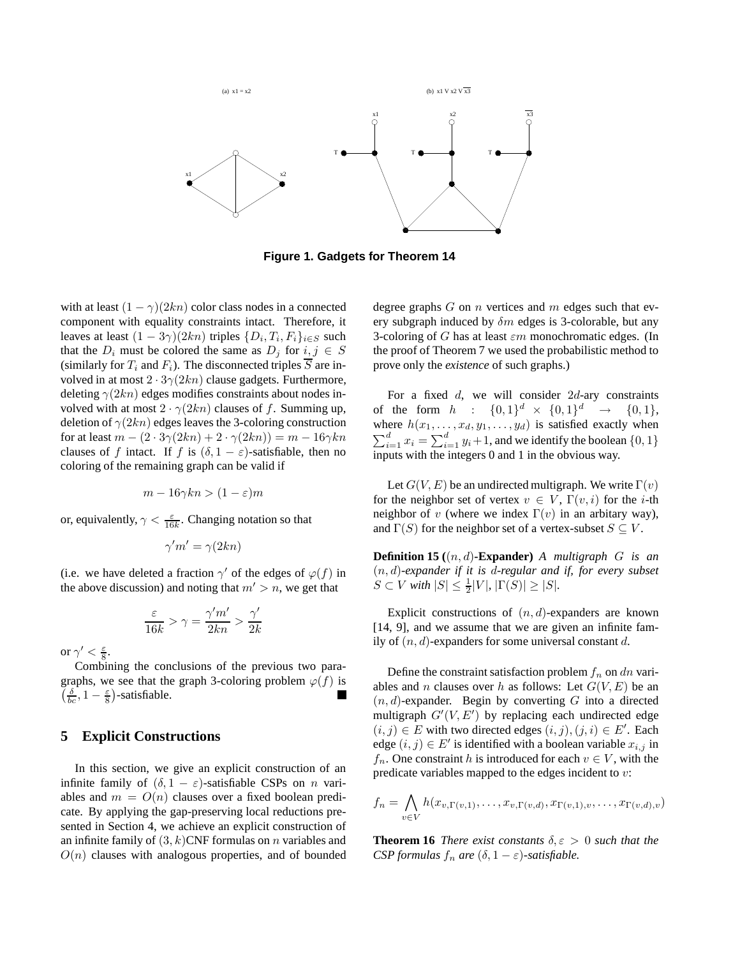

**Figure 1. Gadgets for Theorem 14**

with at least  $(1 - \gamma)(2kn)$  color class nodes in a connected component with equality constraints intact. Therefore, it leaves at least  $(1 - 3\gamma)(2kn)$  triples  $\{D_i, T_i, F_i\}_{i \in S}$  such that the  $D_i$  must be colored the same as  $D_j$  for  $i, j \in S$ (similarly for  $T_i$  and  $F_i$ ). The disconnected triples  $\overline{S}$  are involved in at most  $2 \cdot 3\gamma(2kn)$  clause gadgets. Furthermore, deleting  $\gamma(2kn)$  edges modifies constraints about nodes involved with at most  $2 \cdot \gamma(2kn)$  clauses of f. Summing up, deletion of  $\gamma(2kn)$  edges leaves the 3-coloring construction for at least  $m - (2 \cdot 3\gamma(2kn) + 2 \cdot \gamma(2kn)) = m - 16\gamma kn$ clauses of f intact. If f is  $(\delta, 1 - \varepsilon)$ -satisfiable, then no coloring of the remaining graph can be valid if

$$
m-16\gamma kn>(1-\varepsilon)m
$$

or, equivalently,  $\gamma < \frac{\varepsilon}{16k}$ . Changing notation so that

$$
\gamma'm'=\gamma(2kn)
$$

(i.e. we have deleted a fraction  $\gamma'$  of the edges of  $\varphi(f)$  in the above discussion) and noting that  $m' > n$ , we get that

$$
\frac{\varepsilon}{16k} > \gamma = \frac{\gamma'm'}{2kn} > \frac{\gamma'}{2k}
$$

or  $\gamma' < \frac{\varepsilon}{8}$ .

Combining the conclusions of the previous two paragraphs, we see that the graph 3-coloring problem  $\varphi(f)$  is  $\left(\frac{\delta}{bc}, 1-\frac{\varepsilon}{8}\right)$ -satisfiable. **T** 

# **5 Explicit Constructions**

In this section, we give an explicit construction of an infinite family of  $(\delta, 1 - \varepsilon)$ -satisfiable CSPs on n variables and  $m = O(n)$  clauses over a fixed boolean predicate. By applying the gap-preserving local reductions presented in Section 4, we achieve an explicit construction of an infinite family of  $(3, k)$ CNF formulas on n variables and  $O(n)$  clauses with analogous properties, and of bounded degree graphs  $G$  on  $n$  vertices and  $m$  edges such that every subgraph induced by  $\delta m$  edges is 3-colorable, but any 3-coloring of G has at least  $\varepsilon m$  monochromatic edges. (In the proof of Theorem 7 we used the probabilistic method to prove only the *existence* of such graphs.)

For a fixed  $d$ , we will consider  $2d$ -ary constraints of the form  $h : \{0,1\}^d \times \{0,1\}^d \rightarrow \{0,1\},$ where  $h(x_1, \ldots, x_d, y_1, \ldots, y_d)$  is satisfied exactly when  $\sum_{i=1}^{d} x_i = \sum_{i=1}^{d} y_i + 1$ , and we identify the boolean  $\{0, 1\}$ inputs with the integers 0 and 1 in the obvious way.

Let  $G(V, E)$  be an undirected multigraph. We write  $\Gamma(v)$ for the neighbor set of vertex  $v \in V$ ,  $\Gamma(v, i)$  for the *i*-th neighbor of v (where we index  $\Gamma(v)$  in an arbitary way), and  $\Gamma(S)$  for the neighbor set of a vertex-subset  $S \subseteq V$ .

**Definition 15 (**(n, d)**-Expander)** *A multigraph* G *is an* (n, d)*-expander if it is* d*-regular and if, for every subset*  $S \subset V$  with  $|S| \leq \frac{1}{2}|V|, |\Gamma(S)| \geq |S|$ *.* 

Explicit constructions of  $(n, d)$ -expanders are known [14, 9], and we assume that we are given an infinite family of  $(n, d)$ -expanders for some universal constant d.

Define the constraint satisfaction problem  $f_n$  on dn variables and *n* clauses over h as follows: Let  $G(V, E)$  be an  $(n, d)$ -expander. Begin by converting G into a directed multigraph  $G'(V, E')$  by replacing each undirected edge  $(i, j) \in E$  with two directed edges  $(i, j), (j, i) \in E'$ . Each edge  $(i, j) \in E'$  is identified with a boolean variable  $x_{i,j}$  in  $f_n$ . One constraint h is introduced for each  $v \in V$ , with the predicate variables mapped to the edges incident to v:

$$
f_n = \bigwedge_{v \in V} h(x_{v,\Gamma(v,1)},\ldots,x_{v,\Gamma(v,d)},x_{\Gamma(v,1),v},\ldots,x_{\Gamma(v,d),v})
$$

**Theorem 16** *There exist constants*  $\delta, \varepsilon > 0$  *such that the CSP formulas*  $f_n$  *are*  $(\delta, 1 - \varepsilon)$ *-satisfiable.*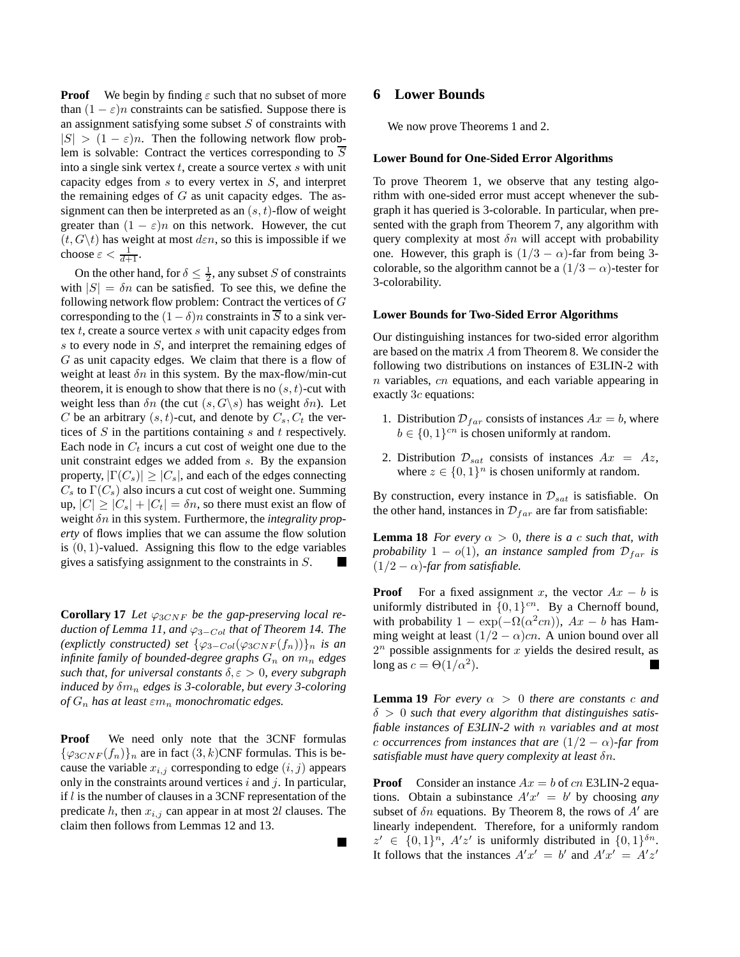**Proof** We begin by finding  $\varepsilon$  such that no subset of more than  $(1 - \varepsilon)n$  constraints can be satisfied. Suppose there is an assignment satisfying some subset  $S$  of constraints with  $|S| > (1 - \varepsilon)n$ . Then the following network flow problem is solvable: Contract the vertices corresponding to  $\overline{S}$ into a single sink vertex  $t$ , create a source vertex  $s$  with unit capacity edges from s to every vertex in S, and interpret the remaining edges of  $G$  as unit capacity edges. The assignment can then be interpreted as an  $(s, t)$ -flow of weight greater than  $(1 - \varepsilon)n$  on this network. However, the cut  $(t, G \backslash t)$  has weight at most  $d \varepsilon n$ , so this is impossible if we choose  $\varepsilon < \frac{1}{d+1}$ .

On the other hand, for  $\delta \leq \frac{1}{2}$ , any subset S of constraints with  $|S| = \delta n$  can be satisfied. To see this, we define the following network flow problem: Contract the vertices of G corresponding to the  $(1 - \delta)n$  constraints in  $\overline{S}$  to a sink vertex  $t$ , create a source vertex  $s$  with unit capacity edges from s to every node in S, and interpret the remaining edges of G as unit capacity edges. We claim that there is a flow of weight at least  $\delta n$  in this system. By the max-flow/min-cut theorem, it is enough to show that there is no  $(s, t)$ -cut with weight less than  $\delta n$  (the cut  $(s, G \backslash s)$  has weight  $\delta n$ ). Let C be an arbitrary  $(s, t)$ -cut, and denote by  $C_s, C_t$  the vertices of  $S$  in the partitions containing  $s$  and  $t$  respectively. Each node in  $C_t$  incurs a cut cost of weight one due to the unit constraint edges we added from s. By the expansion property,  $|\Gamma(C_s)| \geq |C_s|$ , and each of the edges connecting  $C_s$  to  $\Gamma(C_s)$  also incurs a cut cost of weight one. Summing up,  $|C| \geq |C_s| + |C_t| = \delta n$ , so there must exist an flow of weight δn in this system. Furthermore, the *integrality property* of flows implies that we can assume the flow solution is  $(0, 1)$ -valued. Assigning this flow to the edge variables gives a satisfying assignment to the constraints in S. **In the Second** 

**Corollary 17** Let  $\varphi_{3CNF}$  be the gap-preserving local re*duction of Lemma 11, and*  $\varphi_{3-Col}$  *that of Theorem 14. The (explictly constructed) set*  $\{\varphi_{3-Col}(\varphi_{3CNF}(f_n))\}_n$  *is an infinite family of bounded-degree graphs*  $G_n$  *on*  $m_n$  *edges such that, for universal constants*  $\delta, \varepsilon > 0$ *, every subgraph induced by* δm<sup>n</sup> *edges is 3-colorable, but every 3-coloring*  $of$   $G_n$  has at least  $\varepsilon m_n$  *monochromatic edges.* 

**Proof** We need only note that the 3CNF formulas  $\{\varphi_{3CNF}(f_n)\}_n$  are in fact  $(3, k)$ CNF formulas. This is because the variable  $x_{i,j}$  corresponding to edge  $(i, j)$  appears only in the constraints around vertices  $i$  and  $j$ . In particular, if  $l$  is the number of clauses in a 3CNF representation of the predicate h, then  $x_{i,j}$  can appear in at most 2l clauses. The claim then follows from Lemmas 12 and 13.

 $\blacksquare$ 

### **6 Lower Bounds**

We now prove Theorems 1 and 2.

#### **Lower Bound for One-Sided Error Algorithms**

To prove Theorem 1, we observe that any testing algorithm with one-sided error must accept whenever the subgraph it has queried is 3-colorable. In particular, when presented with the graph from Theorem 7, any algorithm with query complexity at most  $\delta n$  will accept with probability one. However, this graph is  $(1/3 - \alpha)$ -far from being 3colorable, so the algorithm cannot be a  $(1/3 - \alpha)$ -tester for 3-colorability.

#### **Lower Bounds for Two-Sided Error Algorithms**

Our distinguishing instances for two-sided error algorithm are based on the matrix A from Theorem 8. We consider the following two distributions on instances of E3LIN-2 with n variables, cn equations, and each variable appearing in exactly 3c equations:

- 1. Distribution  $\mathcal{D}_{far}$  consists of instances  $Ax = b$ , where  $b \in \{0, 1\}^{cn}$  is chosen uniformly at random.
- 2. Distribution  $\mathcal{D}_{sat}$  consists of instances  $Ax = Az$ , where  $z \in \{0,1\}^n$  is chosen uniformly at random.

By construction, every instance in  $\mathcal{D}_{sat}$  is satisfiable. On the other hand, instances in  $\mathcal{D}_{far}$  are far from satisfiable:

**Lemma 18** *For every*  $\alpha > 0$ *, there is a c such that, with probability*  $1 - o(1)$ *, an instance sampled from*  $\mathcal{D}_{far}$  *is*  $(1/2 - \alpha)$ -far from satisfiable.

**Proof** For a fixed assignment x, the vector  $Ax - b$  is uniformly distributed in  $\{0, 1\}^{cn}$ . By a Chernoff bound, with probability  $1 - \exp(-\Omega(\alpha^2 c n))$ ,  $Ax - b$  has Hamming weight at least  $(1/2 - \alpha)cn$ . A union bound over all  $2^n$  possible assignments for x yields the desired result, as long as  $c = \Theta(1/\alpha^2)$ . L.

**Lemma 19** *For every*  $\alpha > 0$  *there are constants c and* δ > 0 *such that every algorithm that distinguishes satisfiable instances of E3LIN-2 with* n *variables and at most c occurrences from instances that are*  $(1/2 - \alpha)$ *-far from satisfiable must have query complexity at least* δn*.*

**Proof** Consider an instance  $Ax = b$  of cn E3LIN-2 equations. Obtain a subinstance  $A'x' = b'$  by choosing *any* subset of  $\delta n$  equations. By Theorem 8, the rows of  $A'$  are linearly independent. Therefore, for a uniformly random  $z' \in \{0,1\}^n$ ,  $A'z'$  is uniformly distributed in  $\{0,1\}^{\delta n}$ . It follows that the instances  $A'x' = b'$  and  $A'x' = A'z'$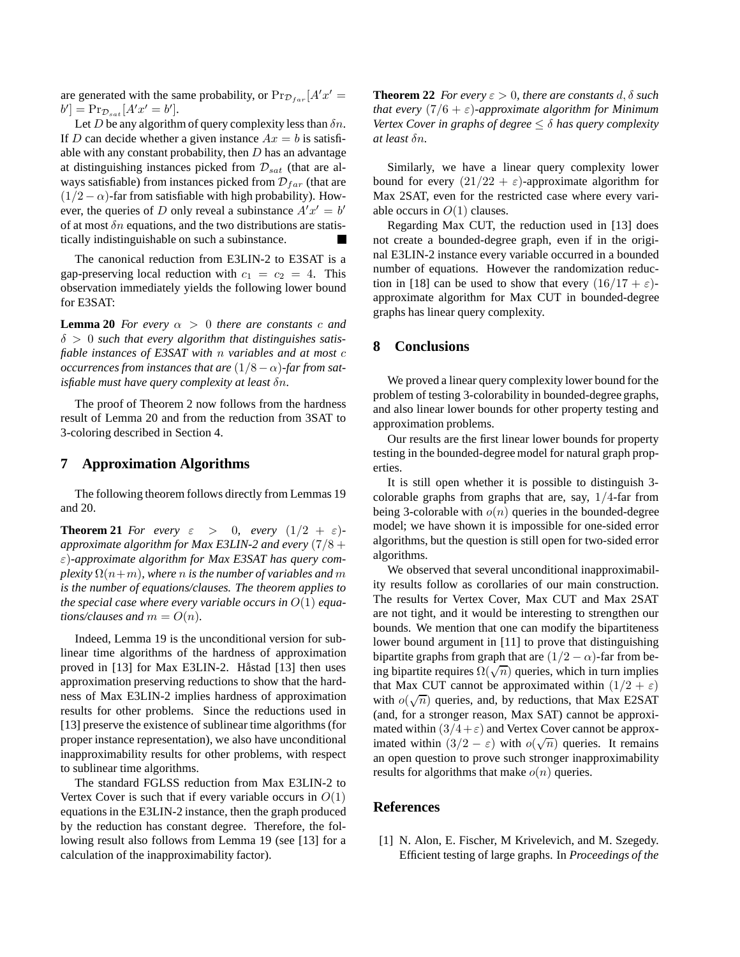are generated with the same probability, or  $\Pr_{\mathcal{D}_{far}}[A'x'] =$  $b'$ ] =  $Pr_{\mathcal{D}_{sat}}[A'x' = b']$ .

Let D be any algorithm of query complexity less than  $\delta n$ . If D can decide whether a given instance  $Ax = b$  is satisfiable with any constant probability, then  $D$  has an advantage at distinguishing instances picked from  $\mathcal{D}_{sat}$  (that are always satisfiable) from instances picked from  $\mathcal{D}_{far}$  (that are  $(1/2 - \alpha)$ -far from satisfiable with high probability). However, the queries of D only reveal a subinstance  $A'x' = b'$ of at most  $\delta n$  equations, and the two distributions are statistically indistinguishable on such a subinstance.

The canonical reduction from E3LIN-2 to E3SAT is a gap-preserving local reduction with  $c_1 = c_2 = 4$ . This observation immediately yields the following lower bound for E3SAT:

**Lemma 20** *For every*  $\alpha > 0$  *there are constants c and* δ > 0 *such that every algorithm that distinguishes satisfiable instances of E3SAT with* n *variables and at most* c *occurrences from instances that are*  $(1/8 – \alpha)$ -far from sat*isfiable must have query complexity at least* δn*.*

The proof of Theorem 2 now follows from the hardness result of Lemma 20 and from the reduction from 3SAT to 3-coloring described in Section 4.

# **7 Approximation Algorithms**

The following theorem follows directly from Lemmas 19 and 20.

**Theorem 21** *For every*  $\varepsilon > 0$ *, every*  $(1/2 + \varepsilon)$ *approximate algorithm for Max E3LIN-2 and every* (7/8 + ε)*-approximate algorithm for Max E3SAT has query complexity*  $\Omega(n+m)$ *, where n is the number of variables and m is the number of equations/clauses. The theorem applies to the special case where every variable occurs in* O(1) *equations/clauses and*  $m = O(n)$ *.* 

Indeed, Lemma 19 is the unconditional version for sublinear time algorithms of the hardness of approximation proved in [13] for Max E3LIN-2. Håstad [13] then uses approximation preserving reductions to show that the hardness of Max E3LIN-2 implies hardness of approximation results for other problems. Since the reductions used in [13] preserve the existence of sublinear time algorithms (for proper instance representation), we also have unconditional inapproximability results for other problems, with respect to sublinear time algorithms.

The standard FGLSS reduction from Max E3LIN-2 to Vertex Cover is such that if every variable occurs in  $O(1)$ equations in the E3LIN-2 instance, then the graph produced by the reduction has constant degree. Therefore, the following result also follows from Lemma 19 (see [13] for a calculation of the inapproximability factor).

**Theorem 22** *For every*  $\varepsilon > 0$ *, there are constants* d,  $\delta$  *such that every*  $(7/6 + \varepsilon)$ -*approximate algorithm for Minimum Vertex Cover in graphs of degree* ≤ δ *has query complexity at least* δn*.*

Similarly, we have a linear query complexity lower bound for every  $(21/22 + \varepsilon)$ -approximate algorithm for Max 2SAT, even for the restricted case where every variable occurs in  $O(1)$  clauses.

Regarding Max CUT, the reduction used in [13] does not create a bounded-degree graph, even if in the original E3LIN-2 instance every variable occurred in a bounded number of equations. However the randomization reduction in [18] can be used to show that every  $(16/17 + \varepsilon)$ approximate algorithm for Max CUT in bounded-degree graphs has linear query complexity.

# **8 Conclusions**

We proved a linear query complexity lower bound for the problem of testing 3-colorability in bounded-degree graphs, and also linear lower bounds for other property testing and approximation problems.

Our results are the first linear lower bounds for property testing in the bounded-degree model for natural graph properties.

It is still open whether it is possible to distinguish 3 colorable graphs from graphs that are, say,  $1/4$ -far from being 3-colorable with  $o(n)$  queries in the bounded-degree model; we have shown it is impossible for one-sided error algorithms, but the question is still open for two-sided error algorithms.

We observed that several unconditional inapproximability results follow as corollaries of our main construction. The results for Vertex Cover, Max CUT and Max 2SAT are not tight, and it would be interesting to strengthen our bounds. We mention that one can modify the bipartiteness lower bound argument in [11] to prove that distinguishing bipartite graphs from graph that are  $(1/2 - \alpha)$ -far from being bipartite requires  $\Omega(\sqrt{n})$  queries, which in turn implies that Max CUT cannot be approximated within  $(1/2 + \varepsilon)$ with  $o(\sqrt{n})$  queries, and, by reductions, that Max E2SAT (and, for a stronger reason, Max SAT) cannot be approximated within  $(3/4 + \varepsilon)$  and Vertex Cover cannot be approximated within  $(3/2 - \varepsilon)$  with  $o(\sqrt{n})$  queries. It remains an open question to prove such stronger inapproximability results for algorithms that make  $o(n)$  queries.

### **References**

[1] N. Alon, E. Fischer, M Krivelevich, and M. Szegedy. Efficient testing of large graphs. In *Proceedings of the*